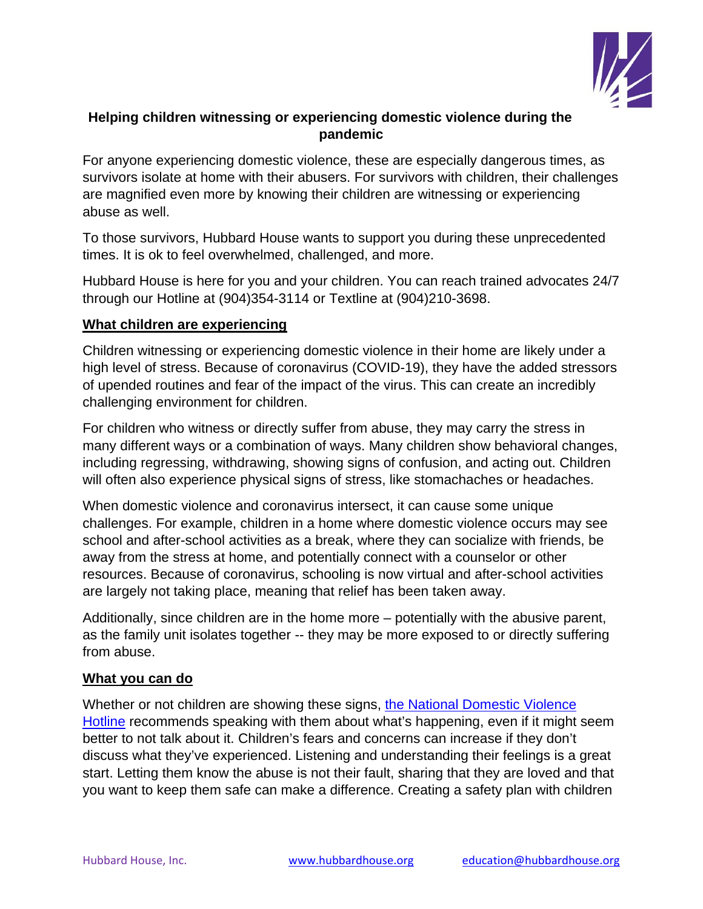

## **Helping children witnessing or experiencing domestic violence during the pandemic**

For anyone experiencing domestic violence, these are especially dangerous times, as survivors isolate at home with their abusers. For survivors with children, their challenges are magnified even more by knowing their children are witnessing or experiencing abuse as well.

To those survivors, Hubbard House wants to support you during these unprecedented times. It is ok to feel overwhelmed, challenged, and more.

Hubbard House is here for you and your children. You can reach trained advocates 24/7 through our Hotline at (904)354-3114 or Textline at (904)210-3698.

## **What children are experiencing**

Children witnessing or experiencing domestic violence in their home are likely under a high level of stress. Because of coronavirus (COVID-19), they have the added stressors of upended routines and fear of the impact of the virus. This can create an incredibly challenging environment for children.

For children who witness or directly suffer from abuse, they may carry the stress in many different ways or a combination of ways. Many children show behavioral changes, including regressing, withdrawing, showing signs of confusion, and acting out. Children will often also experience physical signs of stress, like stomachaches or headaches.

When domestic violence and coronavirus intersect, it can cause some unique challenges. For example, children in a home where domestic violence occurs may see school and after-school activities as a break, where they can socialize with friends, be away from the stress at home, and potentially connect with a counselor or other resources. Because of coronavirus, schooling is now virtual and after-school activities are largely not taking place, meaning that relief has been taken away.

Additionally, since children are in the home more – potentially with the abusive parent, as the family unit isolates together -- they may be more exposed to or directly suffering from abuse.

## **What you can do**

Whether or not children are showing these signs, the National Domestic Violence Hotline recommends speaking with them about what's happening, even if it might seem better to not talk about it. Children's fears and concerns can increase if they don't discuss what they've experienced. Listening and understanding their feelings is a great start. Letting them know the abuse is not their fault, sharing that they are loved and that you want to keep them safe can make a difference. Creating a safety plan with children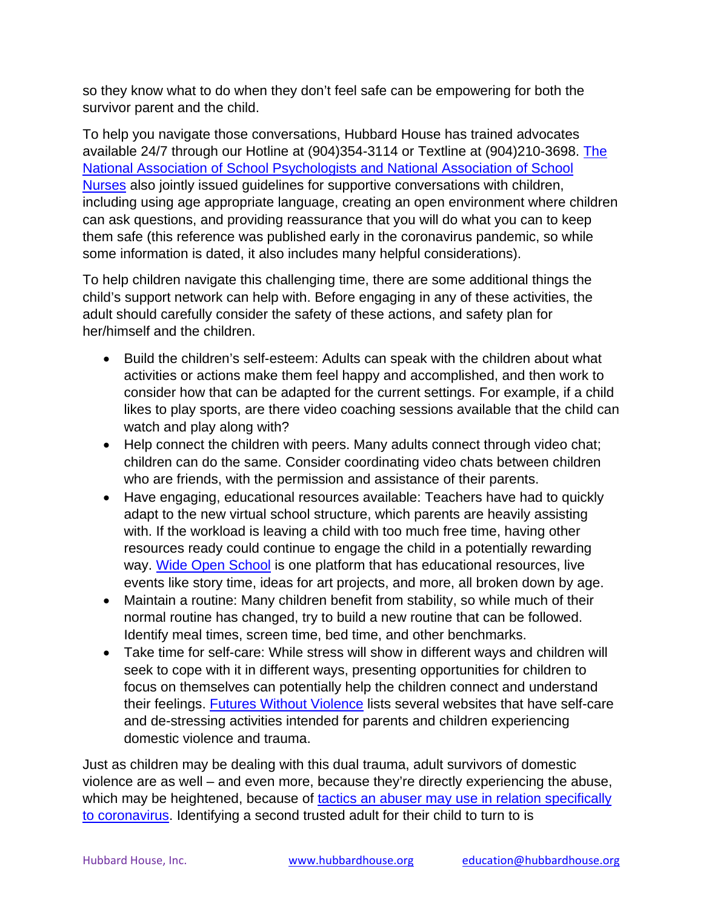so they know what to do when they don't feel safe can be empowering for both the survivor parent and the child.

To help you navigate those conversations, Hubbard House has trained advocates available 24/7 through our Hotline at (904)354-3114 or Textline at (904)210-3698. The National Association of School Psychologists and National Association of School Nurses also jointly issued guidelines for supportive conversations with children, including using age appropriate language, creating an open environment where children can ask questions, and providing reassurance that you will do what you can to keep them safe (this reference was published early in the coronavirus pandemic, so while some information is dated, it also includes many helpful considerations).

To help children navigate this challenging time, there are some additional things the child's support network can help with. Before engaging in any of these activities, the adult should carefully consider the safety of these actions, and safety plan for her/himself and the children.

- Build the children's self-esteem: Adults can speak with the children about what activities or actions make them feel happy and accomplished, and then work to consider how that can be adapted for the current settings. For example, if a child likes to play sports, are there video coaching sessions available that the child can watch and play along with?
- Help connect the children with peers. Many adults connect through video chat; children can do the same. Consider coordinating video chats between children who are friends, with the permission and assistance of their parents.
- Have engaging, educational resources available: Teachers have had to quickly adapt to the new virtual school structure, which parents are heavily assisting with. If the workload is leaving a child with too much free time, having other resources ready could continue to engage the child in a potentially rewarding way. Wide Open School is one platform that has educational resources, live events like story time, ideas for art projects, and more, all broken down by age.
- Maintain a routine: Many children benefit from stability, so while much of their normal routine has changed, try to build a new routine that can be followed. Identify meal times, screen time, bed time, and other benchmarks.
- Take time for self-care: While stress will show in different ways and children will seek to cope with it in different ways, presenting opportunities for children to focus on themselves can potentially help the children connect and understand their feelings. Futures Without Violence lists several websites that have self-care and de-stressing activities intended for parents and children experiencing domestic violence and trauma.

Just as children may be dealing with this dual trauma, adult survivors of domestic violence are as well – and even more, because they're directly experiencing the abuse, which may be heightened, because of tactics an abuser may use in relation specifically to coronavirus. Identifying a second trusted adult for their child to turn to is